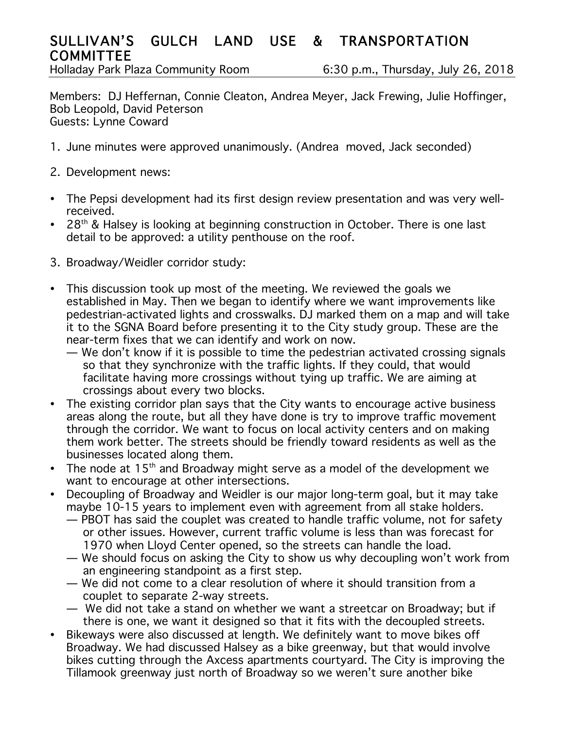## SULLIVAN'S GULCH LAND USE & TRANSPORTATION **COMMITTEE**

Holladay Park Plaza Community Room 6:30 p.m., Thursday, July 26, 2018

Members: DJ Heffernan, Connie Cleaton, Andrea Meyer, Jack Frewing, Julie Hoffinger, Bob Leopold, David Peterson Guests: Lynne Coward

- 1. June minutes were approved unanimously. (Andrea moved, Jack seconded)
- 2. Development news:
- The Pepsi development had its first design review presentation and was very wellreceived.
- $28<sup>th</sup>$  & Halsey is looking at beginning construction in October. There is one last detail to be approved: a utility penthouse on the roof.
- 3. Broadway/Weidler corridor study:
- This discussion took up most of the meeting. We reviewed the goals we established in May. Then we began to identify where we want improvements like pedestrian-activated lights and crosswalks. DJ marked them on a map and will take it to the SGNA Board before presenting it to the City study group. These are the near-term fixes that we can identify and work on now.
	- We don't know if it is possible to time the pedestrian activated crossing signals so that they synchronize with the traffic lights. If they could, that would facilitate having more crossings without tying up traffic. We are aiming at crossings about every two blocks.
- The existing corridor plan says that the City wants to encourage active business areas along the route, but all they have done is try to improve traffic movement through the corridor. We want to focus on local activity centers and on making them work better. The streets should be friendly toward residents as well as the businesses located along them.
- The node at  $15<sup>th</sup>$  and Broadway might serve as a model of the development we want to encourage at other intersections.
- Decoupling of Broadway and Weidler is our major long-term goal, but it may take maybe 10-15 years to implement even with agreement from all stake holders.
	- PBOT has said the couplet was created to handle traffic volume, not for safety or other issues. However, current traffic volume is less than was forecast for 1970 when Lloyd Center opened, so the streets can handle the load.
	- We should focus on asking the City to show us why decoupling won't work from an engineering standpoint as a first step.
	- We did not come to a clear resolution of where it should transition from a couplet to separate 2-way streets.
	- We did not take a stand on whether we want a streetcar on Broadway; but if there is one, we want it designed so that it fits with the decoupled streets.
- Bikeways were also discussed at length. We definitely want to move bikes off Broadway. We had discussed Halsey as a bike greenway, but that would involve bikes cutting through the Axcess apartments courtyard. The City is improving the Tillamook greenway just north of Broadway so we weren't sure another bike